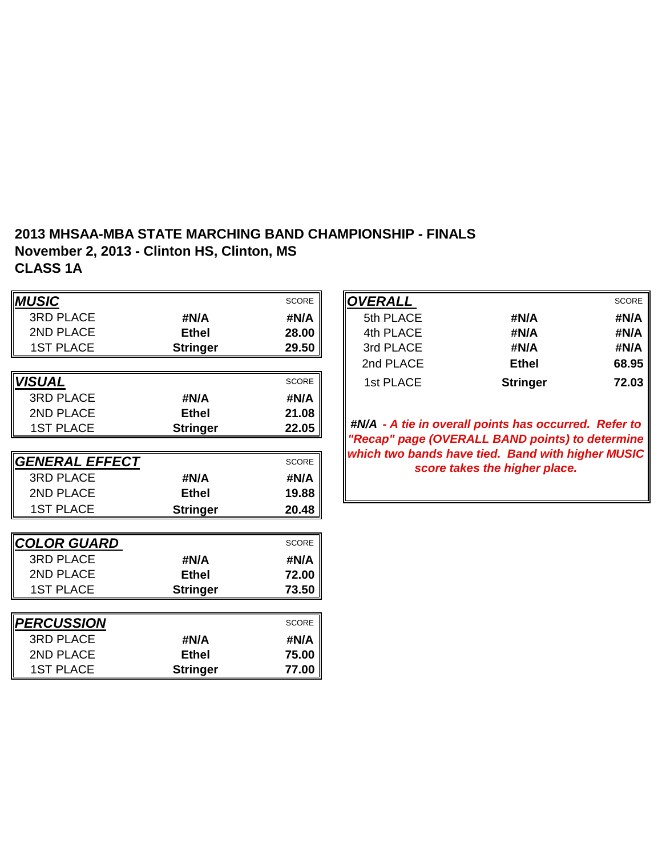## **2013 MHSAA-MBA STATE MARCHING BAND CHAMPIONSHIP - FINALS November 2, 2013 - Clinton HS, Clinton, MS CLASS 1A**

| <b>MUSIC</b>              |                 | SCORE        | <b>OVERALL</b> |                                                                                    | <b>SCORE</b> |
|---------------------------|-----------------|--------------|----------------|------------------------------------------------------------------------------------|--------------|
| <b>3RD PLACE</b>          | #N/A            | #N/A         | 5th PLACE      | #N/A                                                                               | #N/A         |
| 2ND PLACE                 | <b>Ethel</b>    | 28.00        | 4th PLACE      | #N/A                                                                               | #N/A         |
| <b>1ST PLACE</b>          | <b>Stringer</b> | 29.50        | 3rd PLACE      | #N/A                                                                               | #N/A         |
|                           |                 |              | 2nd PLACE      | <b>Ethel</b>                                                                       | 68.95        |
| <b>VISUAL</b>             |                 | <b>SCORE</b> | 1st PLACE      | <b>Stringer</b>                                                                    | 72.03        |
| <b>3RD PLACE</b>          | #N/A            | #N/A         |                |                                                                                    |              |
| 2ND PLACE                 | <b>Ethel</b>    | 21.08        |                |                                                                                    |              |
| <b>1ST PLACE</b>          | <b>Stringer</b> | 22.05        |                | #N/A - A tie in overall points has occurred. Refer to                              |              |
|                           |                 |              |                | "Recap" page (OVERALL BAND points) to determine                                    |              |
| GENERAL EFFECT            |                 | <b>SCORE</b> |                | which two bands have tied. Band with higher MUSIC<br>score takes the higher place. |              |
| <b>3RD PLACE</b>          | #N/A            | #N/A         |                |                                                                                    |              |
| 2ND PLACE                 | <b>Ethel</b>    | 19.88        |                |                                                                                    |              |
| <b>1ST PLACE</b>          | <b>Stringer</b> | 20.48        |                |                                                                                    |              |
|                           |                 |              |                |                                                                                    |              |
| <b>COLOR GUARD</b>        |                 | <b>SCORE</b> |                |                                                                                    |              |
| <b>3RD PLACE</b>          | #N/A            | #N/A         |                |                                                                                    |              |
| 2ND PLACE                 | <b>Ethel</b>    | 72.00        |                |                                                                                    |              |
| <b>1ST PLACE</b>          | <b>Stringer</b> | 73.50        |                |                                                                                    |              |
|                           |                 |              |                |                                                                                    |              |
| <i><b> PERCUSSION</b></i> |                 | <b>SCORE</b> |                |                                                                                    |              |
| <b>3RD PLACE</b>          | #N/A            | #N/A         |                |                                                                                    |              |
| 2ND PLACE                 | <b>Ethel</b>    | 75.00        |                |                                                                                    |              |
| <b>1ST PLACE</b>          | <b>Stringer</b> | 77.00        |                |                                                                                    |              |

|                 | <b>SCORE</b>           | <b>OVERALL</b> |                 | <b>SCORE</b> |
|-----------------|------------------------|----------------|-----------------|--------------|
| #N/A            | #N/A                   | 5th PLACE      | #N/A            | #N/A         |
| <b>Ethel</b>    | 28.00                  | 4th PLACE      | #N/A            | #N/A         |
| <b>Stringer</b> | 29.50                  | 3rd PLACE      | #N/A            | #N/A         |
|                 |                        | 2nd PLACE      | <b>Ethel</b>    | 68.95        |
|                 | <b>SCORE</b>           | 1st PLACE      | <b>Stringer</b> | 72.03        |
|                 | $\cdots \cdots \cdots$ |                |                 |              |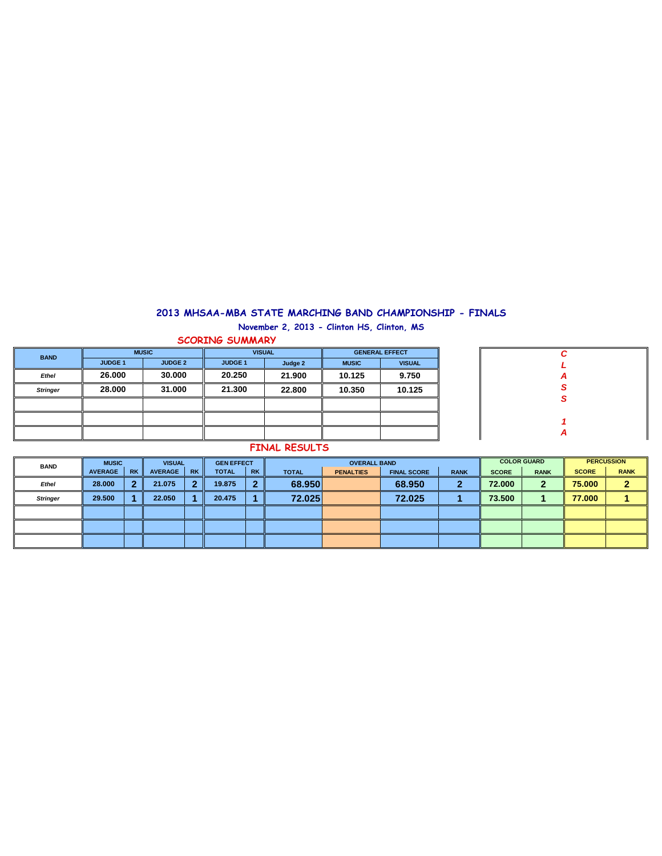## **2013 MHSAA-MBA STATE MARCHING BAND CHAMPIONSHIP - FINALS**

**November 2, 2013 - Clinton HS, Clinton, MS**

| <b>SCORING SUMMARY</b> |                |                |                |         |                       |               |  |  |  |  |  |  |
|------------------------|----------------|----------------|----------------|---------|-----------------------|---------------|--|--|--|--|--|--|
| <b>BAND</b>            | <b>MUSIC</b>   |                | <b>VISUAL</b>  |         | <b>GENERAL EFFECT</b> |               |  |  |  |  |  |  |
|                        | <b>JUDGE 1</b> | <b>JUDGE 2</b> | <b>JUDGE 1</b> | Judge 2 | <b>MUSIC</b>          | <b>VISUAL</b> |  |  |  |  |  |  |
| Ethel                  | 26,000         | 30,000         | 20.250         | 21.900  | 9.750<br>10.125       |               |  |  |  |  |  |  |
| <b>Stringer</b>        | 28,000         | 31,000         | 21.300         | 22,800  | 10.125<br>10.350      |               |  |  |  |  |  |  |
|                        |                |                |                |         |                       |               |  |  |  |  |  |  |
|                        |                |                |                |         |                       |               |  |  |  |  |  |  |
|                        |                |                |                |         |                       |               |  |  |  |  |  |  |

| C           |
|-------------|
| L           |
|             |
| $rac{A}{S}$ |
|             |
|             |
|             |
| Α           |
|             |

## **FINAL RESULTS**

|             | <b>PERCUSSION</b> |  |
|-------------|-------------------|--|
| <b>RANK</b> | <b>SCORE</b>      |  |
|             | 75.000            |  |
|             | 77.000            |  |
|             |                   |  |
|             |                   |  |
|             |                   |  |
|             |                   |  |